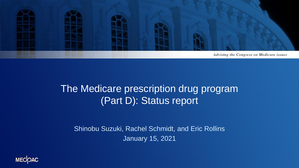

#### The Medicare prescription drug program (Part D): Status report

Shinobu Suzuki, Rachel Schmidt, and Eric Rollins January 15, 2021

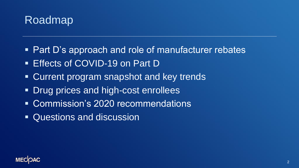

- **Part D's approach and role of manufacturer rebates**
- Effects of COVID-19 on Part D
- Current program snapshot and key trends
- Drug prices and high-cost enrollees
- Commission's 2020 recommendations
- Questions and discussion

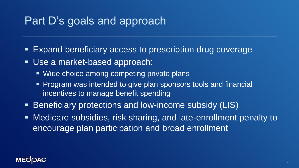#### Part D's goals and approach

- Expand beneficiary access to prescription drug coverage
- Use a market-based approach:
	- Wide choice among competing private plans
	- Program was intended to give plan sponsors tools and financial incentives to manage benefit spending
- Beneficiary protections and low-income subsidy (LIS)
- Medicare subsidies, risk sharing, and late-enrollment penalty to encourage plan participation and broad enrollment

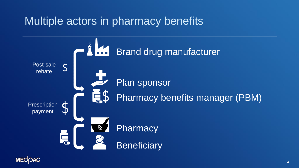### Multiple actors in pharmacy benefits



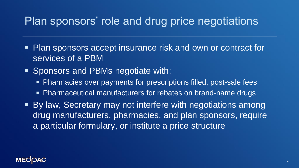#### Plan sponsors' role and drug price negotiations

- Plan sponsors accept insurance risk and own or contract for services of a PBM
- Sponsors and PBMs negotiate with:
	- **EXPENDENT Pharmacies over payments for prescriptions filled, post-sale fees**
	- Pharmaceutical manufacturers for rebates on brand-name drugs
- By law, Secretary may not interfere with negotiations among drug manufacturers, pharmacies, and plan sponsors, require a particular formulary, or institute a price structure

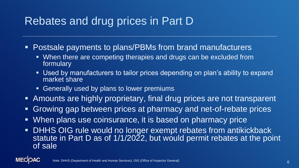## Rebates and drug prices in Part D

- **Postsale payments to plans/PBMs from brand manufacturers** 
	- When there are competing therapies and drugs can be excluded from formulary
	- Used by manufacturers to tailor prices depending on plan's ability to expand market share
	- **EXE** Generally used by plans to lower premiums
- Amounts are highly proprietary, final drug prices are not transparent
- **Example 1 Growing gap between prices at pharmacy and net-of-rebate prices**
- **EXA** When plans use coinsurance, it is based on pharmacy price
- DHHS OIG rule would no longer exempt rebates from antikickback statute in Part D as of 1/1/2022, but would permit rebates at the point of sale

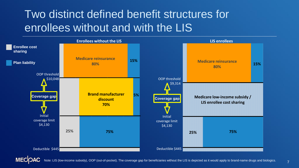## Two distinct defined benefit structures for enrollees without and with the LIS



7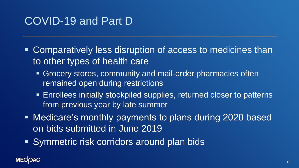### COVID-19 and Part D

- Comparatively less disruption of access to medicines than to other types of health care
	- Grocery stores, community and mail-order pharmacies often remained open during restrictions
	- **Enrollees initially stockpiled supplies, returned closer to patterns** from previous year by late summer
- Medicare's monthly payments to plans during 2020 based on bids submitted in June 2019
- Symmetric risk corridors around plan bids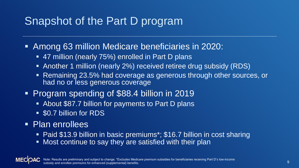## Snapshot of the Part D program

- Among 63 million Medicare beneficiaries in 2020:
	- 47 million (nearly 75%) enrolled in Part D plans
	- **EXALGED 1 million (nearly 2%) received retiree drug subsidy (RDS)**
	- Remaining 23.5% had coverage as generous through other sources, or had no or less generous coverage
- Program spending of \$88.4 billion in 2019
	- About \$87.7 billion for payments to Part D plans
	- \$0.7 billion for RDS
- Plan enrollees
	- Paid \$13.9 billion in basic premiums<sup>\*</sup>; \$16.7 billion in cost sharing
	- Most continue to say they are satisfied with their plan

**MECI** 

Note: Results are preliminary and subject to change. \*Excludes Medicare premium subsidies for beneficiaries receiving Part D's low-income subsidy and enrollee premiums for enhanced (supplemental) benefits.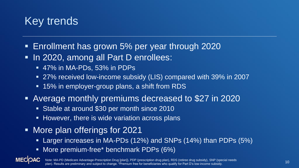

- Enrollment has grown 5% per year through 2020
- In 2020, among all Part D enrollees:
	- 47% in MA-PDs, 53% in PDPs
	- 27% received low-income subsidy (LIS) compared with 39% in 2007
	- 15% in employer-group plans, a shift from RDS
- Average monthly premiums decreased to \$27 in 2020
	- Stable at around \$30 per month since 2010
	- **EXTE:** However, there is wide variation across plans
- More plan offerings for 2021
	- Larger increases in MA-PDs (12%) and SNPs (14%) than PDPs (5%)
	- More premium-free\* benchmark PDPs (6%)

<sup>10</sup> Note: MA-PD (Medicare Advantage-Prescription Drug [plan]), PDP (prescription drug plan), RDS (retiree drug subsidy), SNP (special needs plan). Results are preliminary and subject to change. \*Premium free for beneficiaries who qualify for Part D's low-income subsidy.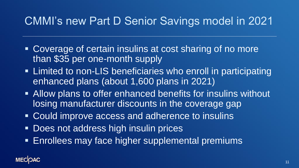## CMMI's new Part D Senior Savings model in 2021

- Coverage of certain insulins at cost sharing of no more than \$35 per one-month supply
- **EXAMPE 10 EXAMPE 10 In the UP 10 In the UP 10 In the UP 10 In the UP 10 In the UP 10 In the UP 10 In the UP 10 In the UP 10 In the UP 10 In the UP 10 In the UP 10 In the UP 10 In the UP 10 In the UP 10 In the UP 10 In the** enhanced plans (about 1,600 plans in 2021)
- Allow plans to offer enhanced benefits for insulins without losing manufacturer discounts in the coverage gap
- Could improve access and adherence to insulins
- **. Does not address high insulin prices**
- **Enrollees may face higher supplemental premiums**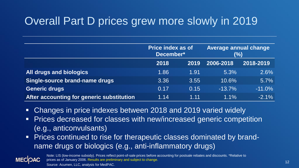# Overall Part D prices grew more slowly in 2019

|                                           | <b>Price index as of</b><br>December* |      | <b>Average annual change</b><br>$(\%)$ |           |
|-------------------------------------------|---------------------------------------|------|----------------------------------------|-----------|
|                                           | 2018                                  | 2019 | 2006-2018                              | 2018-2019 |
| All drugs and biologics                   | 1.86                                  | 1.91 | 5.3%                                   | 2.6%      |
| Single-source brand-name drugs            | 3.36                                  | 3.55 | 10.6%                                  | 5.7%      |
| <b>Generic drugs</b>                      | 0.17                                  | 0.15 | $-13.7%$                               | $-11.0%$  |
| After accounting for generic substitution | 1.14                                  | 1.11 | $1.1\%$                                | $-2.1\%$  |

- Changes in price indexes between 2018 and 2019 varied widely
- **Prices decreased for classes with new/increased generic competition** (e.g., anticonvulsants)
- Prices continued to rise for therapeutic classes dominated by brandname drugs or biologics (e.g., anti-inflammatory drugs)



Note: LIS (low-income subsidy). Prices reflect point-of-sale prices before accounting for postsale rebates and discounts. \*Relative to prices as of January 2006. Results are preliminary and subject to change. Source: Acumen, LLC, analysis for MedPAC.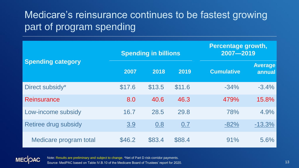#### Medicare's reinsurance continues to be fastest growing part of program spending

| <b>Spending category</b> |        | <b>Spending in billions</b> |        |                   | <b>Percentage growth,</b><br>2007-2019 |  |
|--------------------------|--------|-----------------------------|--------|-------------------|----------------------------------------|--|
|                          | 2007   | 2018                        | 2019   | <b>Cumulative</b> | <b>Average</b><br>annual               |  |
| Direct subsidy*          | \$17.6 | \$13.5                      | \$11.6 | $-34%$            | $-3.4%$                                |  |
| <b>Reinsurance</b>       | 8.0    | 40.6                        | 46.3   | 479%              | 15.8%                                  |  |
| Low-income subsidy       | 16.7   | 28.5                        | 29.8   | 78%               | 4.9%                                   |  |
| Retiree drug subsidy     | 3.9    | 0.8                         | 0.7    | $-82%$            | $-13.3%$                               |  |
| Medicare program total   | \$46.2 | \$83.4                      | \$88.4 | 91%               | 5.6%                                   |  |



Note: Results are preliminary and subject to change. \*Net of Part D risk-corridor payments. Source: MedPAC based on Table IV.B.10 of the Medicare Board of Trustees' report for 2020.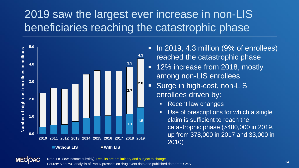# 2019 saw the largest ever increase in non-LIS beneficiaries reaching the catastrophic phase



- In 2019, 4.3 million (9% of enrollees) reached the catastrophic phase
- 12% increase from 2018, mostly among non-LIS enrollees
- **EXECUTE: Surge in high-cost, non-LIS** enrollees driven by:
	- **Recent law changes**
	- Use of prescriptions for which a single claim is sufficient to reach the catastrophic phase (>480,000 in 2019, up from 378,000 in 2017 and 33,000 in 2010)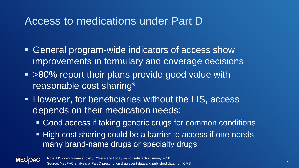#### Access to medications under Part D

- General program-wide indicators of access show improvements in formulary and coverage decisions
- >80% report their plans provide good value with reasonable cost sharing\*
- **EXTERFEDE IS Alle The View Process Fig. 2** However, for beneficiaries without the LIS, access depends on their medication needs:
	- Good access if taking generic drugs for common conditions
	- High cost sharing could be a barrier to access if one needs many brand-name drugs or specialty drugs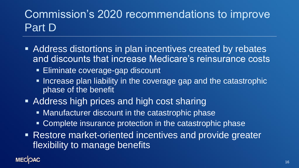# Commission's 2020 recommendations to improve Part D

- Address distortions in plan incentives created by rebates and discounts that increase Medicare's reinsurance costs
	- **Eliminate coverage-gap discount**
	- **EXTERGHEEVIOR IN ITS Increase plan liability in the coverage gap and the catastrophic** phase of the benefit
- Address high prices and high cost sharing
	- Manufacturer discount in the catastrophic phase
	- **EXCOMPLETE INSURANCE PROTECTION IN the catastrophic phase**
- **EXECTS: Restore market-oriented incentives and provide greater** flexibility to manage benefits